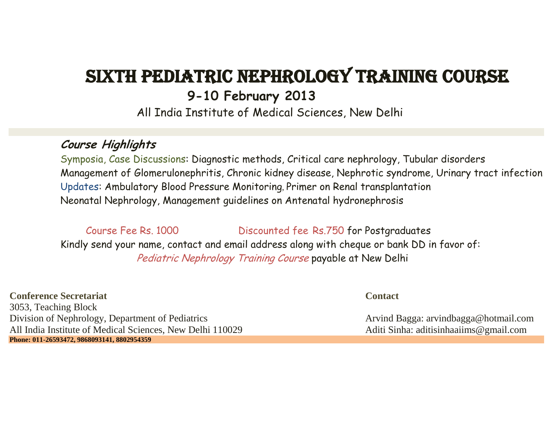# Sixth Pediatric Nephrology Training Course **9-10 February 2013**

All India Institute of Medical Sciences, New Delhi

## **Course Highlights**

Symposia, Case Discussions: Diagnostic methods, Critical care nephrology, Tubular disorders Management of Glomerulonephritis, Chronic kidney disease, Nephrotic syndrome, Urinary tract infection Updates: Ambulatory Blood Pressure Monitoring, Primer on Renal transplantation Neonatal Nephrology, Management guidelines on Antenatal hydronephrosis

Course Fee Rs. 1000 Discounted fee Rs.750 for Postgraduates Kindly send your name, contact and email address along with cheque or bank DD in favor of: Pediatric Nephrology Training Course payable at New Delhi

**Conference Secretariat Contact** 3053, Teaching Block Division of Nephrology, Department of Pediatrics Arvind Bagga: arvind Bagga: arvindbagga@hotmail.com All India Institute of Medical Sciences, New Delhi 110029 Aditi Sinha: aditisinhaaiims@gmail.com **Phone: 011-26593472, 9868093141, 8802954359**